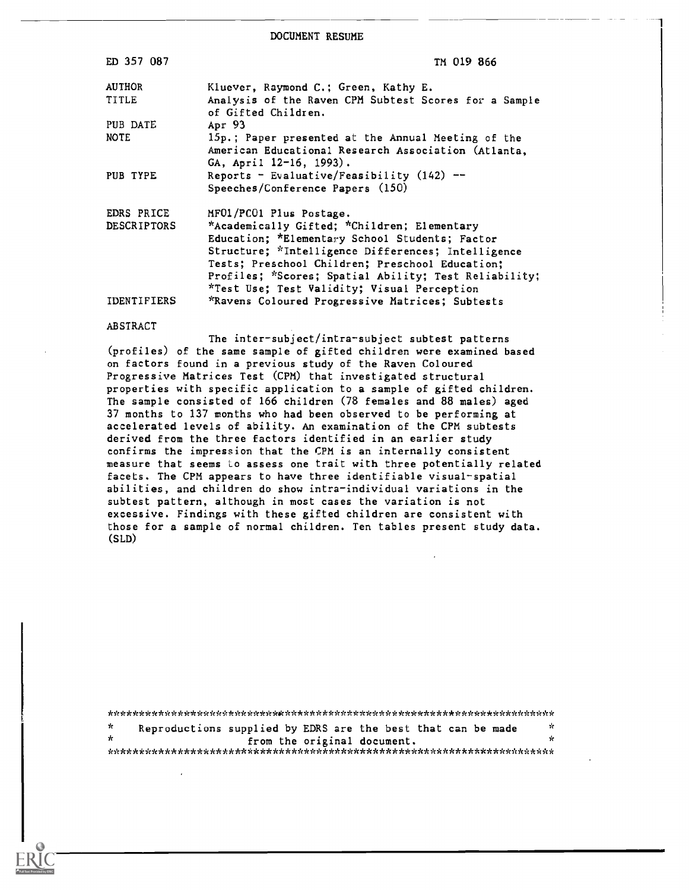DOCUMENT RESUME

| ED 357 087             | TM 019 866                                                                                                                                                                                                                                                                                                     |
|------------------------|----------------------------------------------------------------------------------------------------------------------------------------------------------------------------------------------------------------------------------------------------------------------------------------------------------------|
| <b>AUTHOR</b><br>TITLE | Kluever, Raymond C.; Green, Kathy E.<br>Analysis of the Raven CPM Subtest Scores for a Sample                                                                                                                                                                                                                  |
| PUB DATE               | of Gifted Children.<br>Apr 93                                                                                                                                                                                                                                                                                  |
| NOTE                   | 15p.; Paper presented at the Annual Meeting of the<br>American Educational Research Association (Atlanta,<br>GA, April 12-16, 1993).                                                                                                                                                                           |
| PUB TYPE               | Reports - Evaluative/Feasibility (142) --<br>Speeches/Conference Papers (150)                                                                                                                                                                                                                                  |
| EDRS PRICE             | MF01/PC01 Plus Postage.                                                                                                                                                                                                                                                                                        |
| <b>DESCRIPTORS</b>     | *Academically Gifted; *Children; Elementary<br>Education; *Elementary School Students; Factor<br>Structure; *Intelligence Differences; Intelligence<br>Tests; Preschool Children; Preschool Education;<br>Profiles; *Scores; Spatial Ability; Test Reliability;<br>*Test Use; Test Validity; Visual Perception |
| IDENTIFIERS            | *Ravens Coloured Progressive Matrices; Subtests                                                                                                                                                                                                                                                                |

#### ABSTRACT

The inter-subject/intra-subject subtest patterns (profiles) of the same sample of gifted children were examined based on factors found in a previous study of the Raven Coloured Progressive Matrices Test (CPM) that investigated structural properties with specific application to a sample of gifted children. The sample consisted of 166 children (78 females and 88 males) aged 37 months to 137 months who had been observed to be performing at accelerated levels of ability. An examination of the CPM subtests derived from the three factors identified in an earlier study confirms the impression that the CPM is an internally consistent measure that seems to assess one trait with three potentially related facets. The CPM appears to have three identifiable visual-spatial abilities, and children do show intra-individual variations in the subtest pattern, although in most cases the variation is not excessive. Findings with these gifted children are consistent with those for a sample of normal children. Ten tables present study data. (SLD)

|              | Reproductions supplied by EDRS are the best that can be made | - se |
|--------------|--------------------------------------------------------------|------|
| $\mathbf{r}$ | from the original document.                                  |      |
|              |                                                              |      |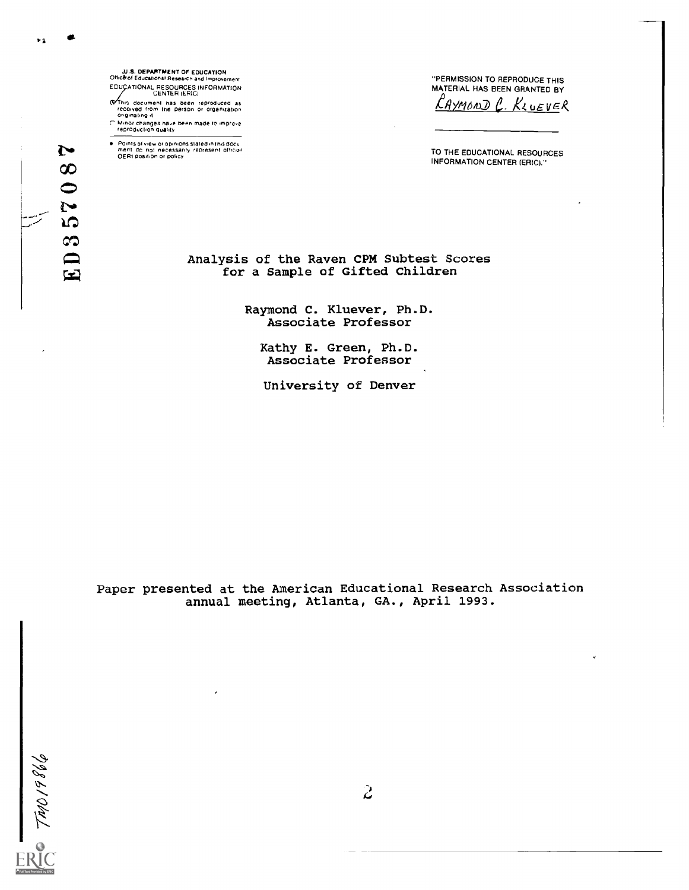,U.S. DEPARTMENT OF EDUCATION Obrarof Educational Research and Improvement EDUCATIONAL RESOURCES INFORMATION<br>CENTER (ERICI

This document has been reproduced as<br>received from the person or organization<br>originaling it

Minor changes have been made to improve.<br>reproduction quality

Points of view or opinions stated in this docu<br>men! I do Inot i necessarily irepresent official<br>OERI position or policy

"PERMISSION TO REPRODUCE THIS MATERIAL HAS BEEN GRANTED BY <u>CAYMOND C. KLUEVER</u>

TO THE EDUCATIONAL RESOURCES INFORMATION CENTER (ERIC)."

### Analysis of the Raven CPM Subtest Scores for a Sample of Gifted Children

Raymond C. Kluever, Ph.D. Associate Professor

Kathy E. Green, Ph.D. Associate Professor

University of Denver

Paper presented at the American Educational Research Association annual meeting, Atlanta, GA., April 1993.

TM019866

 $\blacktriangleright$  1

1St

 $\sim$  $\infty$  $\ddot{\bullet}$ ∾ ١Q  $\infty$  $\blacksquare$  $\mathbf{r}$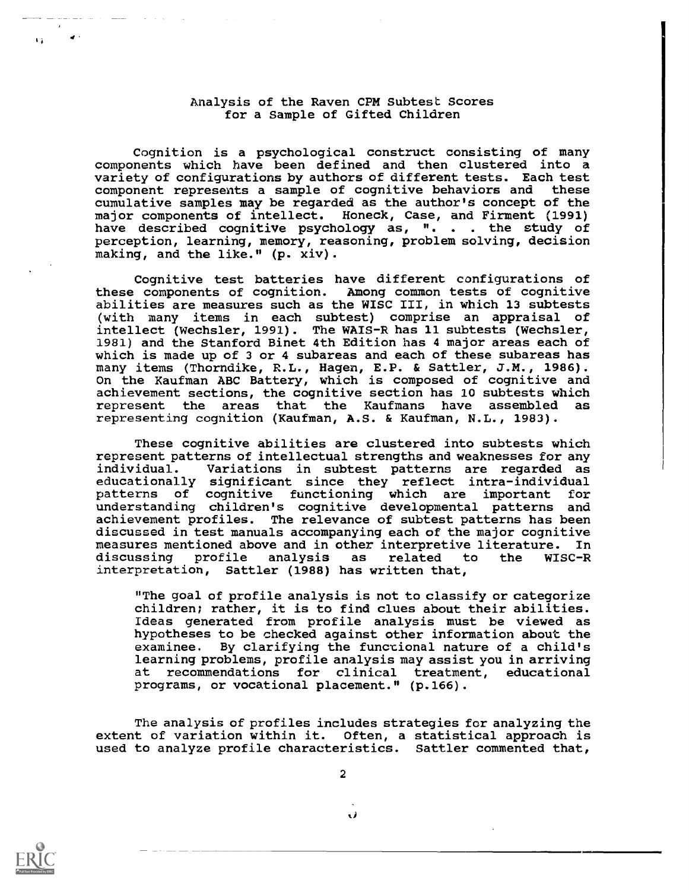### Analysis of the Raven CPM Subtest Scores for a Sample of Gifted Children

Cognition is a psychological construct consisting of many components which have been defined and then clustered into a variety of configurations by authors of different tests. Each test<br>component represents a sample of cognitive behaviors and these component represents a sample of cognitive behaviors and cumulative samples may be regarded as the author's concept of the major components of intellect. Honeck, Case, and Firment (1991) have described cognitive psychology as, ". . . the study of perception, learning, memory, reasoning, problem solving, decision making, and the like." (p. xiv).

Cognitive test batteries have different configurations of these components of cognition. Among common tests of cognitive abilities are measures such as the WISC III, in which 13 subtests (with many items in each subtest) comprise an appraisal of intellect (Wechsler, 1991). The WAIS-R has 11 subtests (Wechsler, 1981) and the Stanford Binet 4th Edition has 4 major areas each of which is made up of 3 or 4 subareas and each of these subareas has many items (Thorndike, R.L., Hagen, E.P. & Sattler, J.M., 1986). On the Kaufman ABC Battery, which is composed of cognitive and achievement sections, the cognitive section has 10 subtests which represent the areas that the Kaufmans have assembled as representing cognition (Kaufman, A.S. & Kaufman, N.L., 1983).

These cognitive abilities are clustered into subtests which represent patterns of intellectual strengths and weaknesses for any individual. Variations in subtest patterns are regarded as educationally significant since they reflect intra-individual patterns of cognitive functioning which are important understanding children's cognitive developmental patterns and achievement profiles. The relevance of subtest patterns has been discussed in test manuals accompanying each of the major cognitive measures mentioned above and in other interpretive literature. In discussing profile analysis as related to the WISC-R discussing profile analysis as related to the WISC-R interpretation, Sattler (1988) has written that,

"The goal of profile analysis is not to classify or categorize children; rather, it is to find clues about their abilities. Ideas generated from profile analysis must be viewed as hypotheses to be checked against other information about the examinee. By clarifying the functional nature of a child's learning problems, profile analysis may assist you in arriving at recommendations for clinical treatment, educational programs, or vocational placement." (p.166).

The analysis of profiles includes strategies for analyzing the extent of variation within it. Often, a statistical approach is used to analyze profile characteristics. Sattler commented that,



 $\mathbf{L}$ 

2

Ü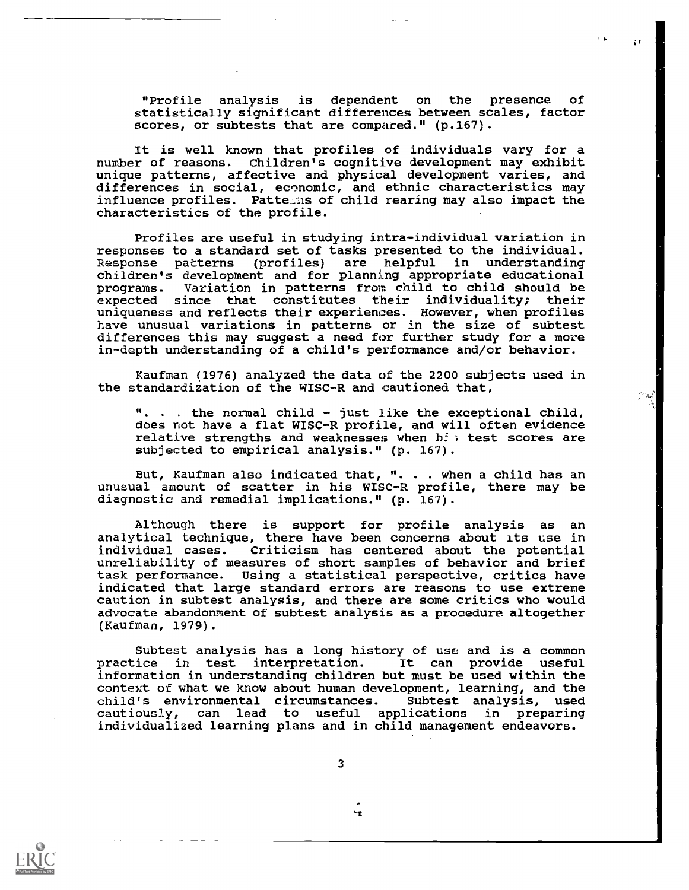"Profile analysis is dependent on the presence of statistically significant differences between scales, factor scores, or subtests that are compared." (p.167).

It is well known that profiles of individuals vary for a number of reasons. Children's cognitive development may exhibit unique patterns, affective and physical development varies, and differences in social, economic, and ethnic characteristics may influence profiles. Patte\_ns of child rearing may also impact the characteristics of the profile.

Profiles are useful in studying intra-individual variation in responses to a standard set of tasks presented to the individual. (profiles) are helpful in understanding children's development and for planning appropriate educational programs. Variation in patterns from child to child should be expected since that constitutes their individuality; their uniqueness and reflects their experiences. However, when profiles have unusual variations in patterns or in the size of subtest differences this may suggest a need for further study for a more in-depth understanding of a child's performance and/or behavior.

Kaufman (1976) analyzed the data of the 2200 subjects used in the standardization of the WISC-R and cautioned that,

". . the normal child - just like the exceptional child, does not have a flat WISC-R profile, and will often evidence relative strengths and weaknesses when  $h^*:$  test scores are subjected to empirical analysis." (p. 167).

But, Kaufman also indicated that, ". . . when a child has an unusual amount of scatter in his WISC-R profile, there may be diagnostic and remedial implications." (p. 167).

Although there is support for profile analysis as an analytical technique, there have been concerns about its use in individual cases. Criticism has centered about the potential Criticism has centered about the potential unreliability of measures of short samples of behavior and brief task performance. Using a statistical perspective, critics have indicated that large standard errors are reasons to use extreme caution in subtest analysis, and there are some critics who would advocate abandonment of subtest analysis as a procedure altogether (Kaufman, 1979).

Subtest analysis has a long history of use and is a common practice in test interpretation. It can provide useful information in understanding children but must be used within the context of what we know about human development, learning, and the child's environmental circumstances. Subtest analysis, used child's environmental circumstances. cautiously, can lead to useful applications in preparing individualized learning plans and in child management endeavors.



3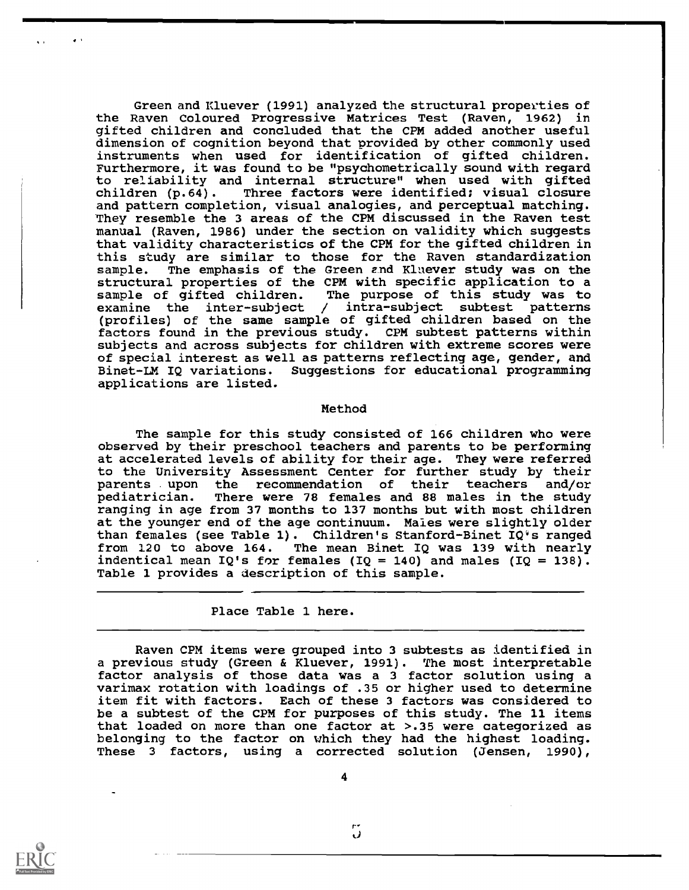Green and Kluever (1991) analyzed the structural properties of the Raven Coloured Progressive Matrices Test (Raven, 1962) in gifted children and concluded that the CPM added another useful dimension of cognition beyond that provided by other commonly used instruments when used for identification of gifted children. Furthermore, it was found to be "psychometrically sound with regard to reliability and internal structure" when used with gifted Three factors were identified; visual closure and pattern completion, visual analogies, and perceptual matching. They resemble the 3 areas of the CPM discussed in the Raven test manual (Raven, 1986) under the section on validity which suggests that validity characteristics of the CPM for the gifted children in this study are similar to those for the Raven standardization<br>sample. The emphasis of the Green and Kluever study was on the The emphasis of the Green and Kluever study was on the structural properties of the CPM with specific application to a sample of gifted children. The purpose of this study was to examine the inter-subject / intra-subject subtest patterns (profiles) of the same sample of gifted children based on the factors found in the previous study. CPM subtest patterns within subjects and across subjects for children with extreme scores were of special interest as well as patterns reflecting age, gender, and Binet-LM IQ variations. Suggestions for educational programming applications are listed.

#### Method

The sample for this study consisted of 166 children who were observed by their preschool teachers and parents to be performing at accelerated levels of ability for their age. They were referred to the University Assessment Center for further study by their parents upon the recommendation of their teachers and/or There were 78 females and 88 males in the study ranging in age from 37 months to 137 months but with most children at the younger end of the age continuum. Males were slightly older than females (see Table 1). Children's Stanford-Binet IQ's ranged The mean Binet IQ was 139 with nearly indentical mean  $IQ's$  for females ( $IQ = 140$ ) and males ( $IQ = 138$ ). Table 1 provides a description of this sample.

### Place Table 1 here.

Raven CPM items were grouped into 3 subtests as identified in a previous study (Green & Kluever, 1991). The most interpretable factor analysis of those data was a 3 factor solution using a varimax rotation with loadings of .35 or higher used to determine item fit with factors. Each of these 3 factors was considered to be a subtest of the CPM for purposes of this study. The 11 items that loaded on more than one factor at >.35 were categorized as belonging to the factor on which they had the highest loading. These <sup>3</sup> factors, using a corrected solution (Jensen, 1990),



 $\bullet$   $\bullet$ 

r-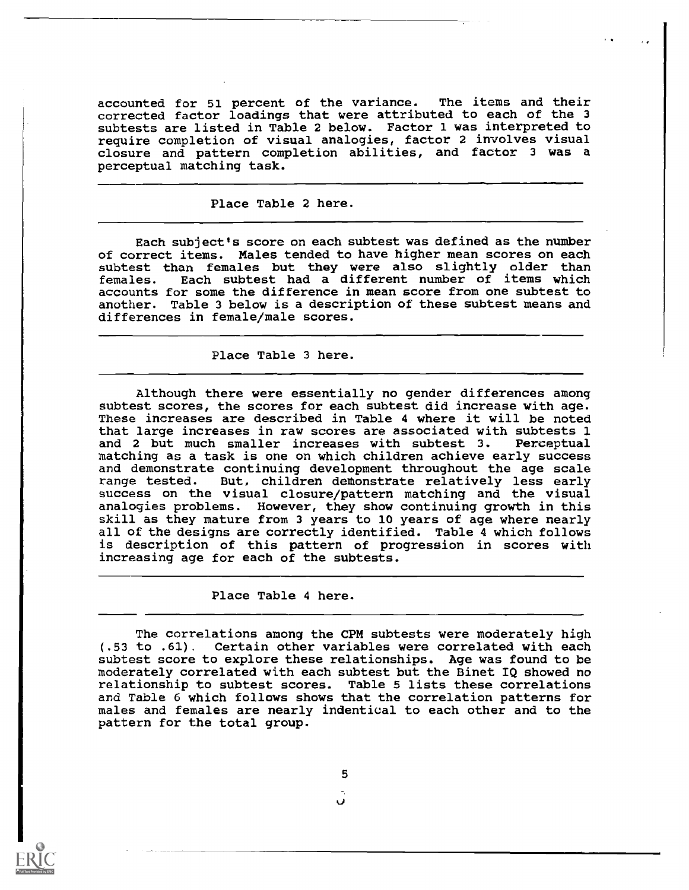accounted for 51 percent of the variance. The items and their corrected factor loadings that were attributed to each of the 3 subtests are listed in Table 2 below. Factor 1 was interpreted to require completion of visual analogies, factor 2 involves visual closure and pattern completion abilities, and factor 3 was a perceptual matching task.

#### Place Table 2 here.

Each subject's score on each subtest was defined as the number of correct items. Males tended to have higher mean scores on each subtest than females but they were also slightly older than females. Each subtest had a different number of items which accounts for some the difference in mean score from one subtest to another. Table 3 below is a description of these subtest means and differences in female/male scores.

### Place Table 3 here.

Although there were essentially no gender differences among subtest scores, the scores for each subtest did increase with age. These increases are described in Table 4 where it will be noted that large increases in raw scores are associated with subtests 1<br>and 2 but much smaller increases with subtest 3. Perceptual and 2 but much smaller increases with subtest 3. matching as a task is one on which children achieve early success and demonstrate continuing development throughout the age scale range tested. But, children demonstrate relatively less early success on the visual closure/pattern matching and the visual analogies problems. However, they show continuing growth in this skill as they mature from 3 years to 10 years of age where nearly all of the designs are correctly identified. Table 4 which follows is description of this pattern of progression in scores with increasing age for each of the subtests.

#### Place Table 4 here.

The correlations among the CPM subtests were moderately high (.53 to .61). Certain other variables were correlated with each subtest score to explore these relationships. Age was found to be moderately correlated with each subtest but the Binet IQ showed no relationship to subtest scores. Table 5 lists these correlations and Table 6 which follows shows that the correlation patterns for males and females are nearly indentical to each other and to the pattern for the total group.

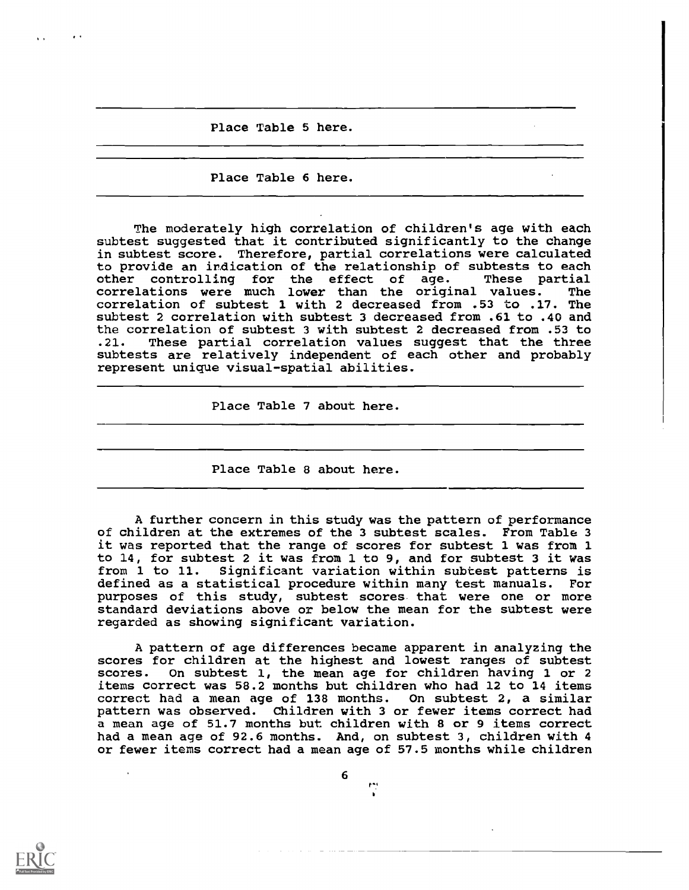Place Table 5 here.

Place Table 6 here.

The moderately high correlation of children's age with each subtest suggested that it contributed significantly to the change in subtest score. Therefore, partial correlations were calculated to provide an indication of the relationship of subtests to each other controlling for the effect of age. These partial correlations were much lower than the original values. The correlation of subtest 1 with 2 decreased from .53 to .17. The subtest 2 correlation with subtest 3 decreased from .61 to .40 and the correlation of subtest 3 with subtest 2 decreased from .53 to<br>.21. These partial correlation values suggest that the three These partial correlation values suggest that the three subtests are relatively independent of each other and probably represent unique visual-spatial abilities.

Place Table 7 about here.

Place Table 8 about here.

A further concern in this study was the pattern of performance of children at the extremes of the 3 subtest scales. From Table 3 it was reported that the range of scores for subtest 1 was from 1 to 14, for subtest 2 it was from 1 to 9, and for subtest 3 it was from 1 to 11. Significant variation within subtest patterns is defined as a statistical procedure within many test manuals. For purposes of this study, subtest scores that were one or more standard deviations above or below the mean for the subtest were regarded as showing significant variation.

A pattern of age differences became apparent in analyzing the scores for children at the highest and lowest ranges of subtest scores. On subtest 1, the mean age for children having 1 or 2 On subtest 1, the mean age for children having 1 or 2 items correct was 58.2 months but children who had 12 to 14 items correct had a mean age of 138 months. On subtest 2, a similar pattern was observed. Children with 3 or fewer items correct had a mean age of 51.7 months but children with 8 or 9 items correct had a mean age of 92.6 months. And, on subtest 3, children with 4 or fewer items correct had a mean age of 57.5 months while children



 $r - r$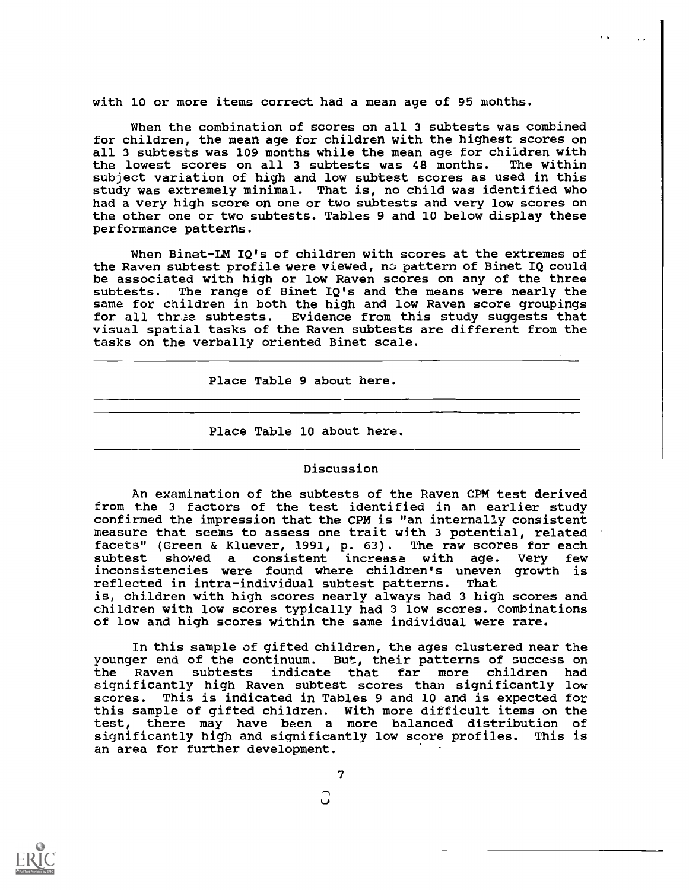with 10 or more items correct had a mean age of 95 months.

When the combination of scores on all 3 subtests was combined for children, the mean age for children with the highest scores on all 3 subtests was 109 months while the mean age for children with<br>the lowest scores on all 3 subtests was 48 months. The within the lowest scores on all 3 subtests was 48 months. subject variation of high and low subtest scores as used in this study was extremely minimal. That is, no child was identified who had a very high score on one or two subtests and very low scores on the other one or two subtests. Tables 9 and 10 below display these performance patterns.

When Binet-LM IQ's of children with scores at the extremes of the Raven subtest profile were viewed, no pattern of Binet IQ could be associated with high or low Raven scores on any of the three subtests. The range of Binet IQ's and the means were nearly the same for children in both the high and low Raven score groupings for all three subtests. Evidence from this study suggests that visual spatial tasks of the Raven subtests are different from the tasks on the verbally oriented Binet scale.

Place Table 9 about here.

Place Table 10 about here.

#### Discussion

An examination of the subtests of the Raven CPM test derived from the 3 factors of the test identified in an earlier study confirmed the impression that the CPM is "an internally consistent measure that seems to assess one trait with 3 potential, related facets" (Green & Kluever, 1991, p. 63). The raw scores for each subtest showed a consistent increase with age. Very few inconsistencies were found where children's uneven growth is reflected in intra-individual subtest patterns. That is, children with high scores nearly always had 3 high scores and children with low scores typically had 3 low scores. Combinations of low and high scores within the same individual were rare.

In this sample of gifted children, the ages clustered near the younger end of the continuum. But, their patterns of success on the Raven subtests indicate that far more children had significantly high Raven subtest scores than significantly low scores. This is indicated in Tables 9 and 10 and is expected for this sample of gifted children. With more difficult items on the test, there may have been a more balanced distribution of significantly high and significantly low score profiles. This is an area for further development.



U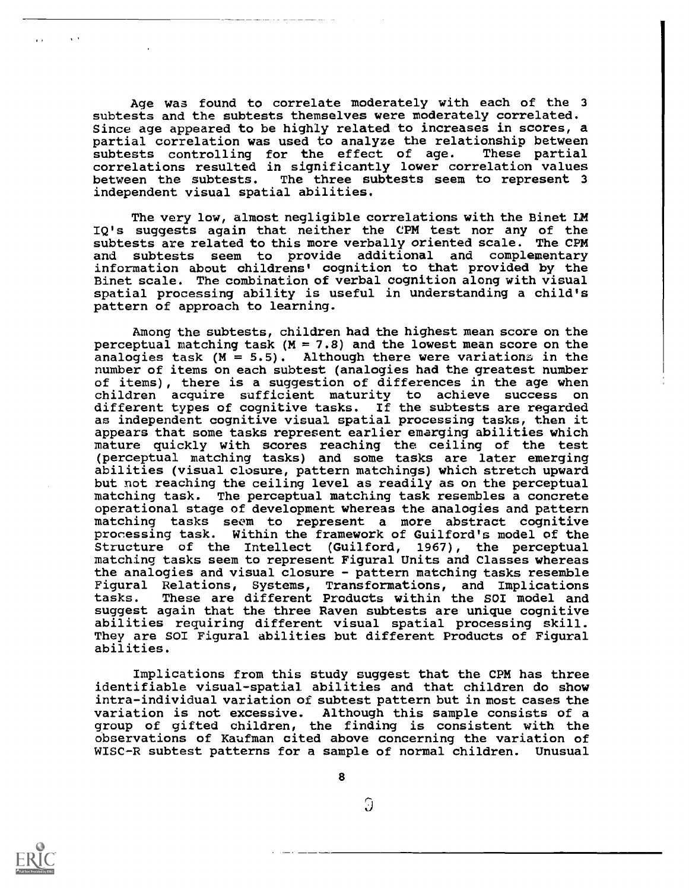Age was found to correlate moderately with each of the 3 subtests and the subtests themselves were moderately correlated. Since age appeared to be highly related to increases in scores, a partial correlation was used to analyze the relationship between subtests controlling for the effect of age. These partial correlations resulted in significantly lower correlation values between the subtests. The three subtests seem to represent 3 independent visual spatial abilities.

The very low, almost negligible correlations with the Binet LM IQ's suggests again that neither the CPM test nor any of the subtests are related to this more verbally oriented scale. The CPM and subtests seem to provide additional and complementary information about childrens' cognition to that provided by the Binet scale. The combination of verbal cognition along with visual spatial processing ability is useful in understanding a child's pattern of approach to learning.

Among the subtests, children had the highest mean score on the perceptual matching task  $(M = 7.8)$  and the lowest mean score on the analogies task  $(M = 5.5)$ . Although there were variations in the number of items on each subtest (analogies had the greatest number of items), there is a suggestion of differences in the age when children acquire sufficient maturity to achieve success on different types of cognitive tasks. If the subtests are regarded as independent cognitive visual spatial processing tasks, then it appears that some tasks represent earlier emerging abilities which mature quickly with scores reaching the ceiling of the test (perceptual matching tasks) and some tasks are later emerging abilities (visual closure, pattern matchings) which stretch upward but not reaching the ceiling level as readily as on the perceptual matching task. The perceptual matching task resembles a concrete operational stage of development whereas the analogies and pattern matching tasks seem to represent a more abstract cognitive processing task. Within the framework of Guilford's model of the Structure of the Intellect (Guilford, 1967), the perceptual matching tasks seem to represent Figural Units and Classes whereas the analogies and visual closure - pattern matching tasks resemble Figural Relations, Systems, Transformations, and Implications tasks. These are different Products within the SOI model and suggest again that the three Raven subtests are unique cognitive abilities requiring different visual spatial processing skill. They are SOI Figural abilities but different Products of Figural abilities.

Implications from this study suggest that the CPM has three identifiable visual-spatial abilities and that children do show intra-individual variation of subtest pattern but inmost cases the variation is not excessive. Although this sample consists of a group of gifted children, the finding is consistent with the observations of Kaufman cited above concerning the variation of WISC-R subtest patterns for a sample of normal children. Unusual



8

 $\Omega$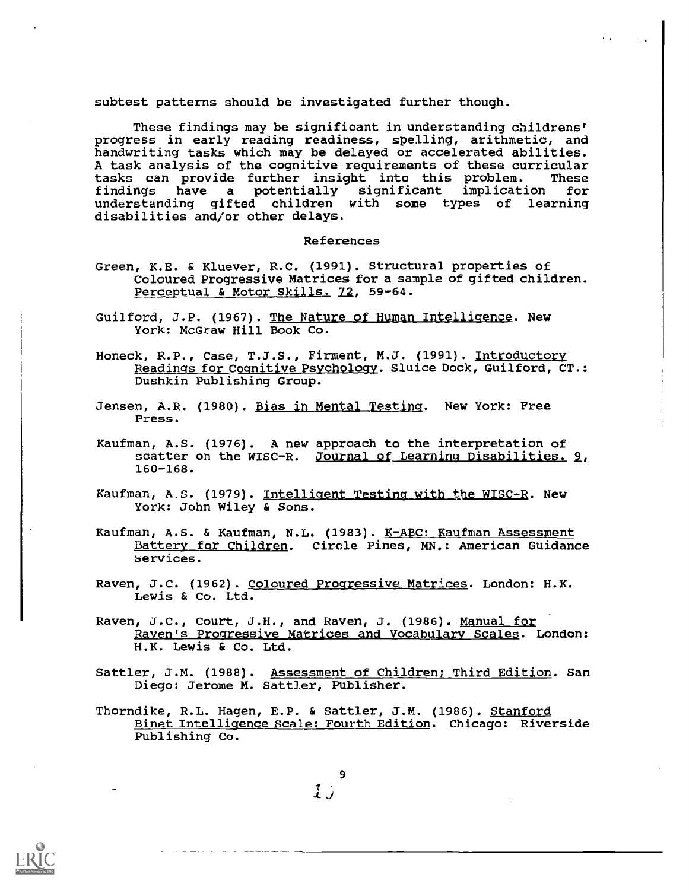subtest patterns should be investigated further though.

These findings may be significant in understanding childrens' progress in early reading readiness, spelling, arithmetic, and handwriting tasks which may be delayed or accelerated abilities. A task analysis of the cognitive requirements of these curricular tasks can provide further insight into this problem. These findings have a potentially significant implication for understanding gifted children with some types of learning disabilities and/or other delays.

#### References

- Green, K.E. & Kluever, R.C. (1991). Structural properties of Coloured Progressive Matrices for a sample of gifted children. Perceptual & Motor Skills. 72, 59-64.
- Guilford, J.P. (1967). The Nature of Human Intelligence. New York: McGraw Hill Book Co.
- Honeck, R.P., Case, T.J.S., Firment, M.J. (1991). Introductory Readings for Cognitive Psychology. Sluice Dock, Guilford, CT.: Dushkin Publishing Group.
- Jensen, A.R. (1980). Bias in Mental Testing. New York: Free Press.
- Kaufman, A.S. (1976). A new approach to the interpretation of scatter on the WISC-R. Journal of Learning Disabilities. 2, 160-168.
- Kaufman, A.S. (1979). Intelligent Testing with the WISC-R. New York: John Wiley & Sons.
- Kaufman, A.S. & Kaufman, N.L. (1983). K-ABC: Kaufman Assessment Battery for Children. Circle Pines, MN.: American Guidance Services.
- Raven, J.C. (1962). Coloured Progressive Matrices. London: H.K. Lewis & Co. Ltd.
- Raven, J.C., Court, J.H., and Raven, J. (1986). Manual for Raven's Progressive Matrices and Vocabulary Scales. London: H.K. Lewis & Co. Ltd.
- Sattler, J.M. (1988). Assessment of Children; Third Edition. San Diego: Jerome M. Sattler, Publisher.
- Thorndike, R.L. Hagen, E.P. & Sattler, J.M. (1986). Stanford Binet Intelligence Scale: Fourth Edition. Chicago: Riverside Publishing Co.

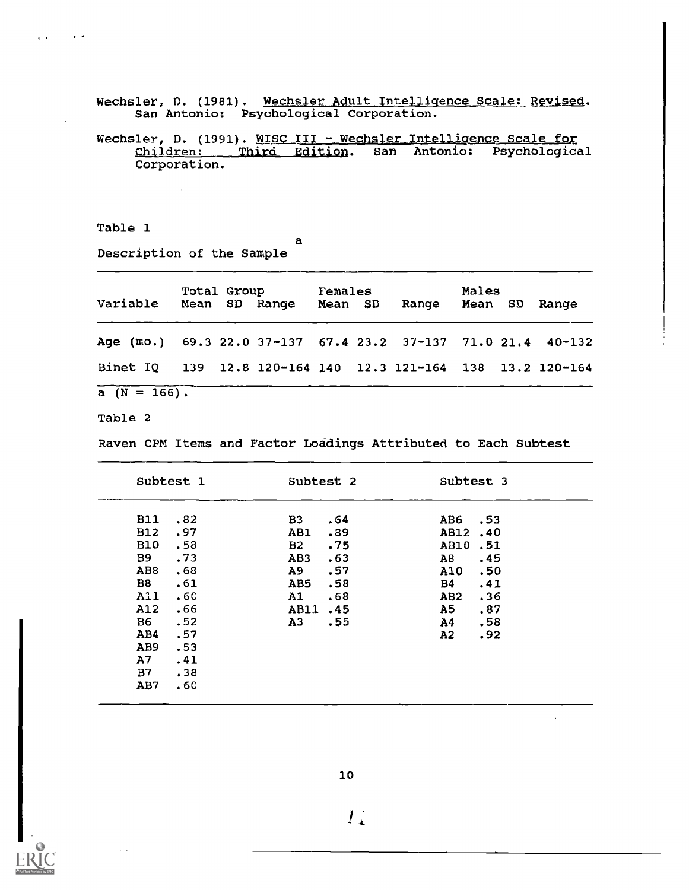Wechsler, D. (1981). Wechsler Adult Intelligence Scale: Revised. San Antonio: Psychological Corporation.

Wechsler, D. (1991). WISC III - Wechsler Intelligence Scale for Children: Third Edition. San Antonio: Psychological Corporation.

a

Table 1

 $\sim 100$ 

 $\mathbf{r}$ 

Description of the Sample

| Variable Mean SD Range                                       |  | Total Group Females |  | Mean SD Range Mean SD Range | Males |  |
|--------------------------------------------------------------|--|---------------------|--|-----------------------------|-------|--|
| Age (mo.) 69.3 22.0 37-137 67.4 23.2 37-137 71.0 21.4 40-132 |  |                     |  |                             |       |  |
| Binet IQ 139 12.8 120-164 140 12.3 121-164 138 13.2 120-164  |  |                     |  |                             |       |  |

Table 2

Raven CPM Items and Factor Loadings Attributed to Each Subtest

|                 | Subtest 1 | Subtest 2      |     | Subtest 3       |     |
|-----------------|-----------|----------------|-----|-----------------|-----|
| <b>B11</b>      | .82       | <b>B3</b>      | .64 | AB6             | .53 |
| <b>B12</b>      | .97       | AB1            | .89 | AB12.40         |     |
| <b>B10</b>      | .58       | B2             | .75 | AB10            | .51 |
| <b>B9</b>       | .73       | AB3            | .63 | A8              | .45 |
| AB <sub>8</sub> | .68       | A9 I           | .57 | A10             | .50 |
| <b>B8</b>       | .61       | AB5            | .58 | <b>B4</b>       | .41 |
| A11             | .60       | A1             | .68 | AB <sub>2</sub> | .36 |
| A12             | .66       | AB11           | .45 | A <sub>5</sub>  | .87 |
| <b>B6</b>       | .52       | A <sub>3</sub> | .55 | A4              | .58 |
| AB4             | .57       |                |     | A2              | .92 |
| AB9             | .53       |                |     |                 |     |
| A7              | .41       |                |     |                 |     |
| B7              | .38       |                |     |                 |     |
| AB7             | .60       |                |     |                 |     |



 $\ddot{\phantom{a}}$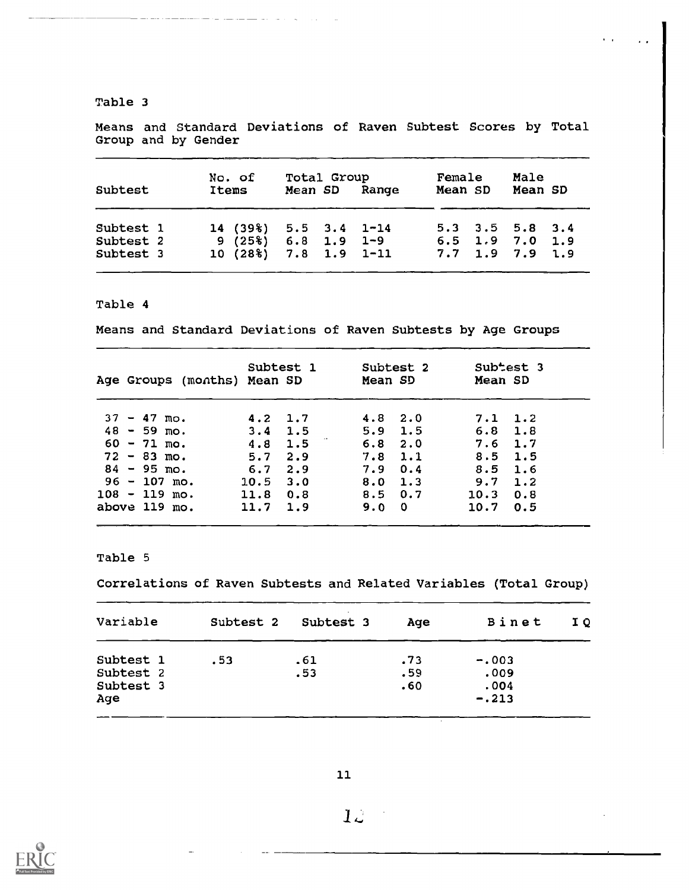Means and Standard Deviations of Raven Subtest Scores by Total Group and by Gender

and the state  $\sim$ 

| Subtest                | No. of<br>Items | Total Group<br>Mean SD<br>Range                | Female<br>Mean SD | Male<br>Mean SD                      |
|------------------------|-----------------|------------------------------------------------|-------------------|--------------------------------------|
| Subtest 1              |                 | $14(39%)$ 5.5 3.4 1-14                         |                   | $5.3$ $3.5$ $5.8$ $3.4$              |
| Subtest 2<br>Subtest 3 |                 | $9(25*)$ 6.8 1.9 1-9<br>$10(28%)$ 7.8 1.9 1-11 |                   | $6.5$ 1.9 7.0 1.9<br>7.7 1.9 7.9 1.9 |

## Table 4

Means and Standard Deviations of Raven Subtests by Age Groups

|                 |                | Age Groups (months) Mean SD | Subtest 1       |     | Mean SD         | Subtest 2 | Mean SD          | Subtest 3 |
|-----------------|----------------|-----------------------------|-----------------|-----|-----------------|-----------|------------------|-----------|
|                 | $37 - 47$ mo.  |                             | $4.2 \quad 1.7$ |     | $4.8$ $2.0$     |           | 7.1 1.2          |           |
|                 | $48 - 59$ mo.  |                             | $3.4 \quad 1.5$ |     | $5.9$ 1.5       |           | $6.8 \quad 1.8$  |           |
|                 | $60 - 71$ mo.  |                             | $4.8$ 1.5       |     | $6.8$ 2.0       |           | $7.6 \quad 1.7$  |           |
|                 | $72 - 83$ mo.  |                             | 5.7             | 2.9 | $7.8$ 1.1       |           | $8.5 \quad 1.5$  |           |
|                 | $84 - 95$ mo.  |                             | 6.7             | 2.9 | $7.9\quad 0.4$  |           | $8.5 \quad 1.6$  |           |
|                 | $96 - 107$ mo. |                             | 10.5            | 3.0 | $8.0 \t1.3$     |           | 9.7              | 1.2       |
| $108 - 119$ mo. |                |                             | $11.8 \t0.8$    |     | $8.5 \quad 0.7$ |           | $10.3 \quad 0.8$ |           |
| above 119 mo.   |                |                             | 11.7            | 1.9 | 9.0             | 0         | 10.7             | 0.5       |

# Table 5

Correlations of Raven Subtests and Related Variables (Total Group)

| Variable  | Subtest 2 | Subtest 3 | Age | Binet   | I O |
|-----------|-----------|-----------|-----|---------|-----|
| Subtest 1 | .53       | .61       | .73 | $-.003$ |     |
| Subtest 2 |           | .53       | .59 | .009    |     |
| Subtest 3 |           |           | .60 | .004    |     |
| Age       |           |           |     | $-.213$ |     |



11

 $12^{-1}$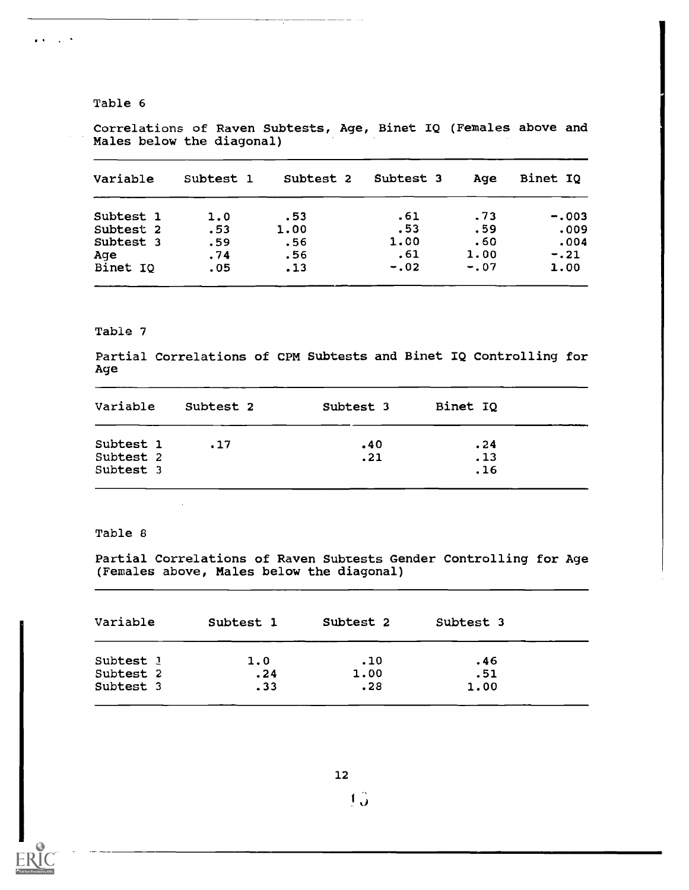$\mathbf{r} \in \mathbb{R}^{d \times d}$ 

Variable Subtest 1 Subtest 2 Subtest 3 Age Binet IQ Subtest 1 1.0 .53 .61 .73 -.003

Binet  $IQ$  .  $05$  .  $13$  -.  $02$  -.  $07$  1.00

Subtest 2 .53 1.00 .53 .59 .009 Subtest 3 .59 .56 1.00 .60 .004 Age 1.74 .56 .61 1.00 -.21

Correlations of Raven Subtests, Age, Binet IQ (Females above and Males below the diagonal)

### Table 7

Partial Correlations of CPM Subtests and Binet IQ Controlling for Age

| Variable               | Subtest 2 | Subtest 3 | Binet IQ   |  |
|------------------------|-----------|-----------|------------|--|
| Subtest 1              | .17       | .40       | .24        |  |
| Subtest 2<br>Subtest 3 |           | .21       | .13<br>.16 |  |

## Table 8

 $\mathcal{L}$ 

Partial Correlations of Raven Subtests Gender. Controlling for Age (Females above, Males below the diagonal)

| Variable  | Subtest 1 | Subtest 2 | Subtest 3 |  |
|-----------|-----------|-----------|-----------|--|
| Subtest 1 | 1.0       | .10       | .46       |  |
| Subtest 2 | .24       | 1.00      | .51       |  |
| Subtest 3 | .33       | .28       | 1.00      |  |
|           |           |           |           |  |

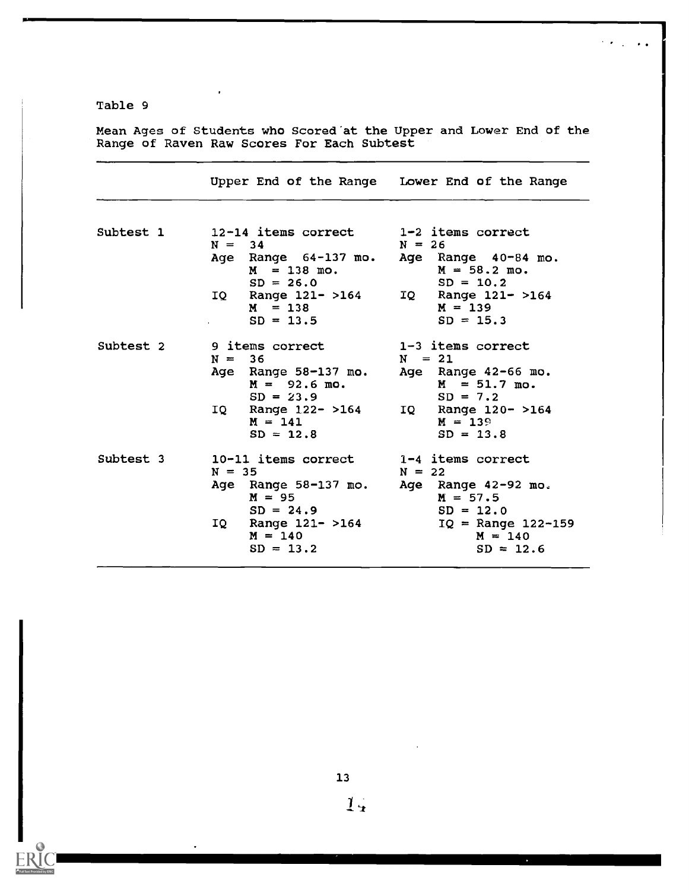$\hat{\mathbf{r}}$ 

Mean Ages of Students who Scored'at the Upper and Lower End of the Range of Raven Raw Scores For Each Subtest

 $\ddot{\phantom{a}}$ 

|           | Upper End of the Range Lower End of the Range |                                       |
|-----------|-----------------------------------------------|---------------------------------------|
| Subtest 1 | 12-14 items correct                           | 1-2 items correct                     |
|           | $N = 34$                                      | $N = 26$                              |
|           | Age Range 64-137 mo.<br>$M = 138$ mo.         | Age Range 40-84 mo.<br>$M = 58.2$ mo. |
|           | $SD = 26.0$                                   | $SD = 10.2$                           |
|           | IQ Range 121- >164<br>$M = 138$               | IQ Range 121- >164<br>$M = 139$       |
|           | $SD = 13.5$                                   | $SD = 15.3$                           |
|           |                                               |                                       |
| Subtest 2 | <b>9 items correct</b>                        | $1-3$ items correct                   |
|           | $N = 36$                                      | $N = 21$                              |
|           | Age Range 58-137 mo.                          | Age Range 42-66 mo.                   |
|           | $M = 92.6$ mo.                                | $M = 51.7$ mo.                        |
|           | $SD = 23.9$                                   | $SD = 7.2$                            |
|           | IQ Range 122- >164                            | IQ Range 120- >164                    |
|           | $M = 141$                                     | $M = 139$                             |
|           | $SD = 12.8$                                   | $SD = 13.8$                           |
| Subtest 3 | 10-11 items correct                           | 1-4 items correct                     |
|           | $N = 35$                                      | $N = 22$                              |
|           |                                               |                                       |
|           | Age Range 58-137 mo.<br>$M = 95$              | Age Range 42-92 mo.<br>$M = 57.5$     |
|           | $SD = 24.9$                                   | $SD = 12.0$                           |
|           |                                               |                                       |
|           | Range $121 - 164$<br>IQ<br>$M = 140$          | $IQ = Range 122 - 159$<br>$M = 140$   |
|           | $SD = 13.2$                                   | $SD = 12.6$                           |
|           |                                               |                                       |